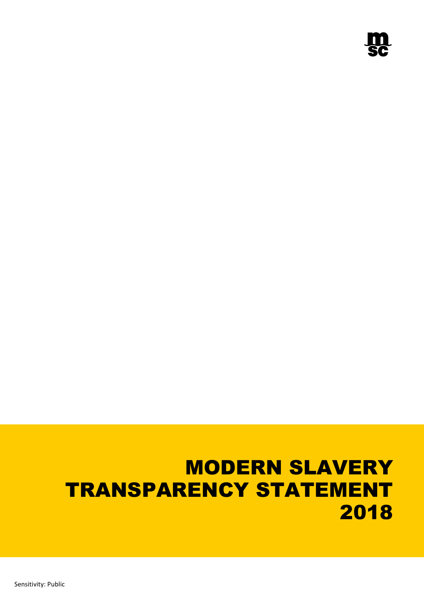# MODERN SLAVERY TRANSPARENCY STATEMENT 2018

Sensitivity: Public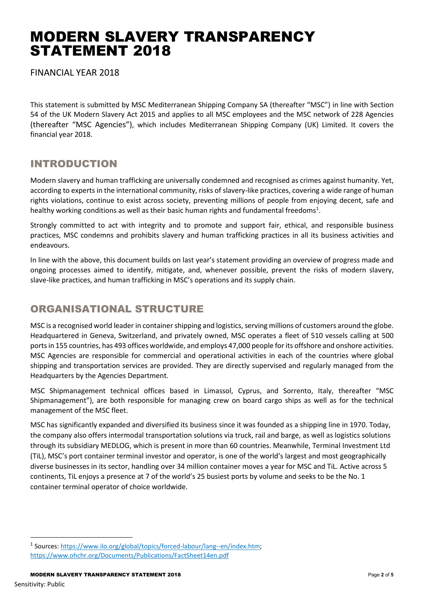## MODERN SLAVERY TRANSPARENCY STATEMENT 2018

FINANCIAL YEAR 2018

This statement is submitted by MSC Mediterranean Shipping Company SA (thereafter "MSC") in line with Section 54 of the UK Modern Slavery Act 2015 and applies to all MSC employees and the MSC network of 228 Agencies (thereafter "MSC Agencies"), which includes Mediterranean Shipping Company (UK) Limited. It covers the financial year 2018.

## INTRODUCTION

Modern slavery and human trafficking are universally condemned and recognised as crimes against humanity. Yet, according to experts in the international community, risks of slavery-like practices, covering a wide range of human rights violations, continue to exist across society, preventing millions of people from enjoying decent, safe and healthy working conditions as well as their basic human rights and fundamental freedoms<sup>[1](#page-1-0)</sup>.

Strongly committed to act with integrity and to promote and support fair, ethical, and responsible business practices, MSC condemns and prohibits slavery and human trafficking practices in all its business activities and endeavours.

In line with the above, this document builds on last year's statement providing an overview of progress made and ongoing processes aimed to identify, mitigate, and, whenever possible, prevent the risks of modern slavery, slave-like practices, and human trafficking in MSC's operations and its supply chain.

## ORGANISATIONAL STRUCTURE

MSC is a recognised world leader in container shipping and logistics, serving millions of customers around the globe. Headquartered in Geneva, Switzerland, and privately owned, MSC operates a fleet of 510 vessels calling at 500 ports in 155 countries, has 493 offices worldwide, and employs 47,000 people for its offshore and onshore activities. MSC Agencies are responsible for commercial and operational activities in each of the countries where global shipping and transportation services are provided. They are directly supervised and regularly managed from the Headquarters by the Agencies Department.

MSC Shipmanagement technical offices based in Limassol, Cyprus, and Sorrento, Italy, thereafter "MSC Shipmanagement"), are both responsible for managing crew on board cargo ships as well as for the technical management of the MSC fleet.

MSC has significantly expanded and diversified its business since it was founded as a shipping line in 1970. Today, the company also offers intermodal transportation solutions via truck, rail and barge, as well as logistics solutions through its subsidiary MEDLOG, which is present in more than 60 countries. Meanwhile, Terminal Investment Ltd (TiL), MSC's port container terminal investor and operator, is one of the world's largest and most geographically diverse businesses in its sector, handling over 34 million container moves a year for MSC and TiL. Active across 5 continents, TiL enjoys a presence at 7 of the world's 25 busiest ports by volume and seeks to be the No. 1 container terminal operator of choice worldwide.

<span id="page-1-0"></span> <sup>1</sup> Sources: [https://www.ilo.org/global/topics/forced-labour/lang--en/index.htm;](https://www.ilo.org/global/topics/forced-labour/lang--en/index.htm) <https://www.ohchr.org/Documents/Publications/FactSheet14en.pdf>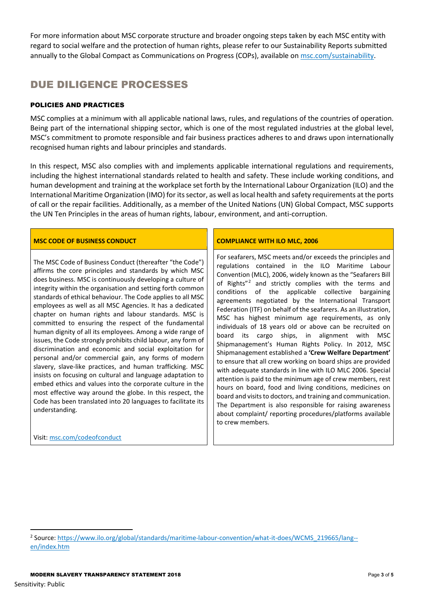For more information about MSC corporate structure and broader ongoing steps taken by each MSC entity with regard to social welfare and the protection of human rights, please refer to our Sustainability Reports submitted annually to the Global Compact as Communications on Progress (COPs), available on [msc.com/sustainability.](http://www.msc.com/sustainability)

## DUE DILIGENCE PROCESSES

## POLICIES AND PRACTICES

MSC complies at a minimum with all applicable national laws, rules, and regulations of the countries of operation. Being part of the international shipping sector, which is one of the most regulated industries at the global level, MSC's commitment to promote responsible and fair business practices adheres to and draws upon internationally recognised human rights and labour principles and standards.

In this respect, MSC also complies with and implements applicable international regulations and requirements, including the highest international standards related to health and safety. These include working conditions, and human development and training at the workplace set forth by the International Labour Organization (ILO) and the International Maritime Organization (IMO) for its sector, as well as local health and safety requirements at the ports of call or the repair facilities. Additionally, as a member of the United Nations (UN) Global Compact, MSC supports the UN Ten Principles in the areas of human rights, labour, environment, and anti-corruption.

## **MSC CODE OF BUSINESS CONDUCT COMPLIANCE WITH ILO MLC, 2006**

The MSC Code of Business Conduct (thereafter "the Code") affirms the core principles and standards by which MSC does business. MSC is continuously developing a culture of integrity within the organisation and setting forth common standards of ethical behaviour. The Code applies to all MSC employees as well as all MSC Agencies. It has a dedicated chapter on human rights and labour standards. MSC is committed to ensuring the respect of the fundamental human dignity of all its employees. Among a wide range of issues, the Code strongly prohibits child labour, any form of discrimination and economic and social exploitation for personal and/or commercial gain, any forms of modern slavery, slave-like practices, and human trafficking. MSC insists on focusing on cultural and language adaptation to embed ethics and values into the corporate culture in the most effective way around the globe. In this respect, the Code has been translated into 20 languages to facilitate its understanding.

## Visit[: msc.com/codeofconduct](https://www.msc.com/che/sustainability/business-ethics/governance)

For seafarers, MSC meets and/or exceeds the principles and regulations contained in the ILO Maritime Labour Convention (MLC), 2006, widely known as the "Seafarers Bill of Rights"[2](#page-2-0) and strictly complies with the terms and conditions of the applicable collective bargaining agreements negotiated by the International Transport Federation (ITF) on behalf of the seafarers. As an illustration, MSC has highest minimum age requirements, as only individuals of 18 years old or above can be recruited on board its cargo ships, in alignment with MSC Shipmanagement's Human Rights Policy. In 2012, MSC Shipmanagement established a **'Crew Welfare Department'** to ensure that all crew working on board ships are provided with adequate standards in line with ILO MLC 2006. Special attention is paid to the minimum age of crew members, rest hours on board, food and living conditions, medicines on board and visits to doctors, and training and communication. The Department is also responsible for raising awareness about complaint/ reporting procedures/platforms available to crew members.

<span id="page-2-0"></span><sup>&</sup>lt;sup>2</sup> Source: [https://www.ilo.org/global/standards/maritime-labour-convention/what-it-does/WCMS\\_219665/lang-](https://www.ilo.org/global/standards/maritime-labour-convention/what-it-does/WCMS_219665/lang--en/index.htm) [en/index.htm](https://www.ilo.org/global/standards/maritime-labour-convention/what-it-does/WCMS_219665/lang--en/index.htm)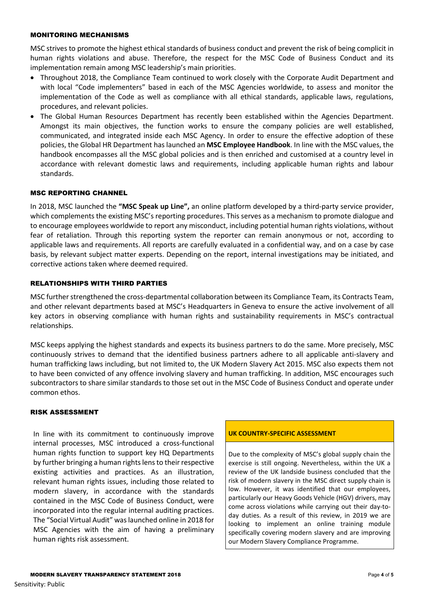### MONITORING MECHANISMS

MSC strives to promote the highest ethical standards of business conduct and prevent the risk of being complicit in human rights violations and abuse. Therefore, the respect for the MSC Code of Business Conduct and its implementation remain among MSC leadership's main priorities.

- Throughout 2018, the Compliance Team continued to work closely with the Corporate Audit Department and with local "Code implementers" based in each of the MSC Agencies worldwide, to assess and monitor the implementation of the Code as well as compliance with all ethical standards, applicable laws, regulations, procedures, and relevant policies.
- The Global Human Resources Department has recently been established within the Agencies Department. Amongst its main objectives, the function works to ensure the company policies are well established, communicated, and integrated inside each MSC Agency. In order to ensure the effective adoption of these policies, the Global HR Department has launched an **MSC Employee Handbook**. In line with the MSC values, the handbook encompasses all the MSC global policies and is then enriched and customised at a country level in accordance with relevant domestic laws and requirements, including applicable human rights and labour standards.

## MSC REPORTING CHANNEL

In 2018, MSC launched the **"MSC Speak up Line",** an online platform developed by a third-party service provider, which complements the existing MSC's reporting procedures. This serves as a mechanism to promote dialogue and to encourage employees worldwide to report any misconduct, including potential human rights violations, without fear of retaliation. Through this reporting system the reporter can remain anonymous or not, according to applicable laws and requirements. All reports are carefully evaluated in a confidential way, and on a case by case basis, by relevant subject matter experts. Depending on the report, internal investigations may be initiated, and corrective actions taken where deemed required.

## RELATIONSHIPS WITH THIRD PARTIES

MSC further strengthened the cross-departmental collaboration between its Compliance Team, its Contracts Team, and other relevant departments based at MSC's Headquarters in Geneva to ensure the active involvement of all key actors in observing compliance with human rights and sustainability requirements in MSC's contractual relationships.

MSC keeps applying the highest standards and expects its business partners to do the same. More precisely, MSC continuously strives to demand that the identified business partners adhere to all applicable anti-slavery and human trafficking laws including, but not limited to, the UK Modern Slavery Act 2015. MSC also expects them not to have been convicted of any offence involving slavery and human trafficking. In addition, MSC encourages such subcontractors to share similar standards to those set out in the MSC Code of Business Conduct and operate under common ethos.

### RISK ASSESSMENT

In line with its commitment to continuously improve internal processes, MSC introduced a cross-functional human rights function to support key HQ Departments by further bringing a human rights lens to their respective existing activities and practices. As an illustration, relevant human rights issues, including those related to modern slavery, in accordance with the standards contained in the MSC Code of Business Conduct, were incorporated into the regular internal auditing practices. The "Social Virtual Audit" was launched online in 2018 for MSC Agencies with the aim of having a preliminary human rights risk assessment.

### **UK COUNTRY-SPECIFIC ASSESSMENT**

Due to the complexity of MSC's global supply chain the exercise is still ongoing. Nevertheless, within the UK a review of the UK landside business concluded that the risk of modern slavery in the MSC direct supply chain is low. However, it was identified that our employees, particularly our Heavy Goods Vehicle (HGV) drivers, may come across violations while carrying out their day-today duties. As a result of this review, in 2019 we are looking to implement an online training module specifically covering modern slavery and are improving our Modern Slavery Compliance Programme.